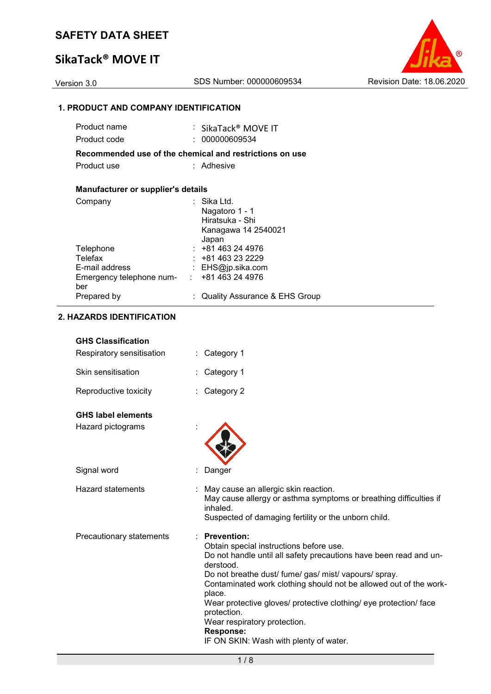# **SikaTack® MOVE IT**



# **1. PRODUCT AND COMPANY IDENTIFICATION**

| Product name                                      | : SikaTack® MOVE IT                                     |
|---------------------------------------------------|---------------------------------------------------------|
| Product code                                      | : 000000609534                                          |
|                                                   | Recommended use of the chemical and restrictions on use |
| Product use                                       | : Adhesive                                              |
|                                                   |                                                         |
| Manufacturer or supplier's details                |                                                         |
| Company                                           | ∶ Sika Ltd.                                             |
|                                                   | Nagatoro 1 - 1                                          |
|                                                   | Hiratsuka - Shi                                         |
|                                                   | Kanagawa 14 2540021                                     |
|                                                   | Japan                                                   |
| Telephone                                         | $: +81463244976$                                        |
| Telefax                                           | : +81 463 23 2229                                       |
| E-mail address                                    | : EHS@jp.sika.com                                       |
| Emergency telephone num- : +81 463 24 4976<br>ber |                                                         |
| Prepared by                                       | Quality Assurance & EHS Group                           |

# **2. HAZARDS IDENTIFICATION**

| <b>GHS Classification</b> |  |
|---------------------------|--|
|---------------------------|--|

| Respiratory sensitisation | Category 1                                                                                                                                                                                                                                                                                                                                                                                                                                                                |
|---------------------------|---------------------------------------------------------------------------------------------------------------------------------------------------------------------------------------------------------------------------------------------------------------------------------------------------------------------------------------------------------------------------------------------------------------------------------------------------------------------------|
| Skin sensitisation        | Category 1                                                                                                                                                                                                                                                                                                                                                                                                                                                                |
| Reproductive toxicity     | Category 2                                                                                                                                                                                                                                                                                                                                                                                                                                                                |
| <b>GHS label elements</b> |                                                                                                                                                                                                                                                                                                                                                                                                                                                                           |
| Hazard pictograms         |                                                                                                                                                                                                                                                                                                                                                                                                                                                                           |
| Signal word               | Danger                                                                                                                                                                                                                                                                                                                                                                                                                                                                    |
| <b>Hazard statements</b>  | May cause an allergic skin reaction.<br>May cause allergy or asthma symptoms or breathing difficulties if<br>inhaled.<br>Suspected of damaging fertility or the unborn child.                                                                                                                                                                                                                                                                                             |
| Precautionary statements  | <b>Prevention:</b><br>Obtain special instructions before use.<br>Do not handle until all safety precautions have been read and un-<br>derstood.<br>Do not breathe dust/ fume/ gas/ mist/ vapours/ spray.<br>Contaminated work clothing should not be allowed out of the work-<br>place.<br>Wear protective gloves/ protective clothing/ eye protection/ face<br>protection.<br>Wear respiratory protection.<br><b>Response:</b><br>IF ON SKIN: Wash with plenty of water. |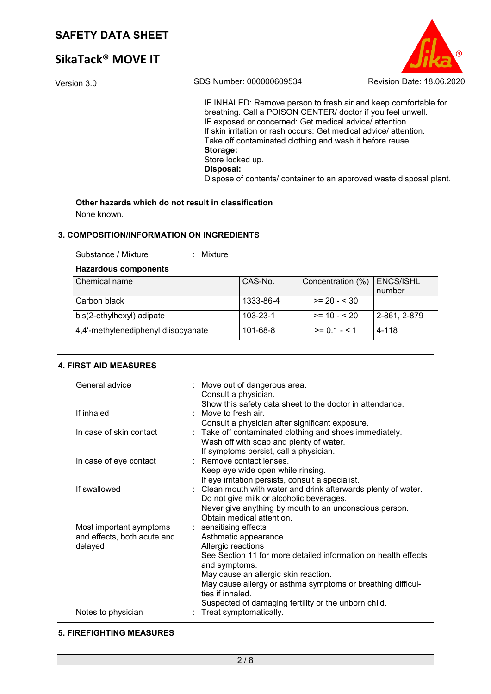# **SikaTack® MOVE IT**



IF INHALED: Remove person to fresh air and keep comfortable for breathing. Call a POISON CENTER/ doctor if you feel unwell. IF exposed or concerned: Get medical advice/ attention. If skin irritation or rash occurs: Get medical advice/ attention. Take off contaminated clothing and wash it before reuse. **Storage:**  Store locked up. **Disposal:**  Dispose of contents/ container to an approved waste disposal plant.

# **Other hazards which do not result in classification**

None known.

#### **3. COMPOSITION/INFORMATION ON INGREDIENTS**

Substance / Mixture : Mixture

#### **Hazardous components**

| Chemical name                       | CAS-No.        | Concentration (%) | ENCS/ISHL<br>number |
|-------------------------------------|----------------|-------------------|---------------------|
| Carbon black                        | 1333-86-4      | $>= 20 - 30$      |                     |
| bis(2-ethylhexyl) adipate           | $103 - 23 - 1$ | $>= 10 - 520$     | 2-861, 2-879        |
| 4,4'-methylenediphenyl diisocyanate | 101-68-8       | $>= 0.1 - 5.1$    | 4-118               |

### **4. FIRST AID MEASURES**

| General advice<br>: Move out of dangerous area.<br>Consult a physician.            |  |
|------------------------------------------------------------------------------------|--|
| Show this safety data sheet to the doctor in attendance.                           |  |
| If inhaled<br>Move to fresh air                                                    |  |
| Consult a physician after significant exposure.                                    |  |
| : Take off contaminated clothing and shoes immediately.<br>In case of skin contact |  |
| Wash off with soap and plenty of water.                                            |  |
| If symptoms persist, call a physician.                                             |  |
| : Remove contact lenses.<br>In case of eye contact                                 |  |
| Keep eye wide open while rinsing.                                                  |  |
| If eye irritation persists, consult a specialist.                                  |  |
| If swallowed<br>: Clean mouth with water and drink afterwards plenty of water.     |  |
| Do not give milk or alcoholic beverages.                                           |  |
| Never give anything by mouth to an unconscious person.                             |  |
| Obtain medical attention.                                                          |  |
| Most important symptoms<br>: sensitising effects                                   |  |
| and effects, both acute and<br>Asthmatic appearance                                |  |
| Allergic reactions<br>delayed                                                      |  |
| See Section 11 for more detailed information on health effects<br>and symptoms.    |  |
| May cause an allergic skin reaction.                                               |  |
| May cause allergy or asthma symptoms or breathing difficul-<br>ties if inhaled.    |  |
| Suspected of damaging fertility or the unborn child.                               |  |
| Treat symptomatically.<br>Notes to physician                                       |  |

### **5. FIREFIGHTING MEASURES**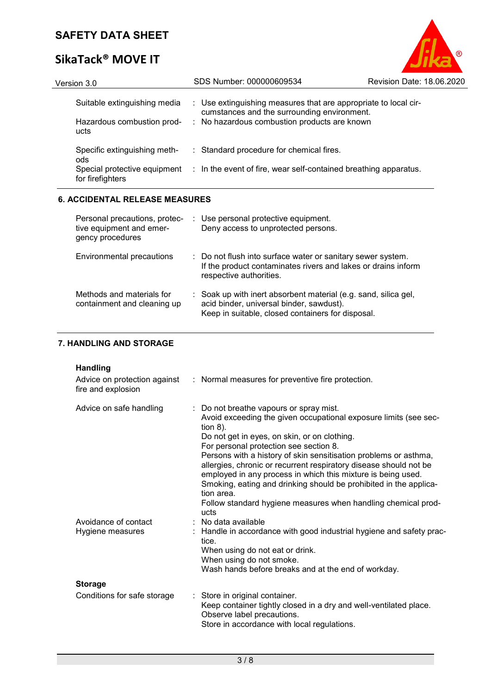# **SikaTack® MOVE IT**



| Version 3.0                                      | SDS Number: 000000609534                                                                                       | Revision Date: 18.06.2020 |
|--------------------------------------------------|----------------------------------------------------------------------------------------------------------------|---------------------------|
| Suitable extinguishing media                     | : Use extinguishing measures that are appropriate to local cir-<br>cumstances and the surrounding environment. |                           |
| Hazardous combustion prod-<br>ucts               | : No hazardous combustion products are known                                                                   |                           |
| Specific extinguishing meth-<br>ods              | : Standard procedure for chemical fires.                                                                       |                           |
| Special protective equipment<br>for firefighters | : In the event of fire, wear self-contained breathing apparatus.                                               |                           |

| Personal precautions, protec-<br>tive equipment and emer-<br>gency procedures | : Use personal protective equipment.<br>Deny access to unprotected persons.                                                                                      |
|-------------------------------------------------------------------------------|------------------------------------------------------------------------------------------------------------------------------------------------------------------|
| Environmental precautions                                                     | : Do not flush into surface water or sanitary sewer system.<br>If the product contaminates rivers and lakes or drains inform<br>respective authorities.          |
| Methods and materials for<br>containment and cleaning up                      | : Soak up with inert absorbent material (e.g. sand, silica gel,<br>acid binder, universal binder, sawdust).<br>Keep in suitable, closed containers for disposal. |

# **7. HANDLING AND STORAGE**

| <b>Handling</b> |  |
|-----------------|--|
|-----------------|--|

| Advice on protection against<br>fire and explosion | : Normal measures for preventive fire protection.                                                                                                                                                                                                                                                                                                                                                                                                                                                                                                                                         |
|----------------------------------------------------|-------------------------------------------------------------------------------------------------------------------------------------------------------------------------------------------------------------------------------------------------------------------------------------------------------------------------------------------------------------------------------------------------------------------------------------------------------------------------------------------------------------------------------------------------------------------------------------------|
| Advice on safe handling                            | : Do not breathe vapours or spray mist.<br>Avoid exceeding the given occupational exposure limits (see sec-<br>tion $8$ ).<br>Do not get in eyes, on skin, or on clothing.<br>For personal protection see section 8.<br>Persons with a history of skin sensitisation problems or asthma,<br>allergies, chronic or recurrent respiratory disease should not be<br>employed in any process in which this mixture is being used.<br>Smoking, eating and drinking should be prohibited in the applica-<br>tion area.<br>Follow standard hygiene measures when handling chemical prod-<br>ucts |
| Avoidance of contact<br>Hygiene measures           | $:$ No data available<br>: Handle in accordance with good industrial hygiene and safety prac-<br>tice.<br>When using do not eat or drink.<br>When using do not smoke.<br>Wash hands before breaks and at the end of workday.                                                                                                                                                                                                                                                                                                                                                              |
| <b>Storage</b>                                     |                                                                                                                                                                                                                                                                                                                                                                                                                                                                                                                                                                                           |
| Conditions for safe storage                        | : Store in original container.<br>Keep container tightly closed in a dry and well-ventilated place.<br>Observe label precautions.<br>Store in accordance with local regulations.                                                                                                                                                                                                                                                                                                                                                                                                          |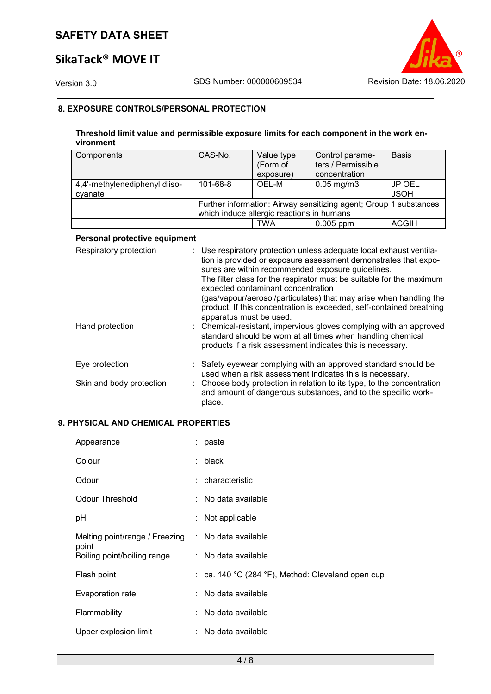# **SikaTack® MOVE IT**



### **8. EXPOSURE CONTROLS/PERSONAL PROTECTION**

### **Threshold limit value and permissible exposure limits for each component in the work environment**

| Components                    | CAS-No.  | Value type                                | Control parame-                                                   | <b>Basis</b> |
|-------------------------------|----------|-------------------------------------------|-------------------------------------------------------------------|--------------|
|                               |          | (Form of                                  | ters / Permissible                                                |              |
|                               |          | exposure)                                 | concentration                                                     |              |
| 4,4'-methylenediphenyl diiso- | 101-68-8 | OEL-M                                     | $0.05 \,\mathrm{mg/m3}$                                           | JP OEL       |
| cyanate                       |          |                                           |                                                                   | <b>JSOH</b>  |
|                               |          |                                           | Further information: Airway sensitizing agent; Group 1 substances |              |
|                               |          | which induce allergic reactions in humans |                                                                   |              |
|                               |          | TWA                                       | $0.005$ ppm                                                       | <b>ACGIH</b> |

### **Personal protective equipment**

| Respiratory protection   | : Use respiratory protection unless adequate local exhaust ventila-<br>tion is provided or exposure assessment demonstrates that expo-<br>sures are within recommended exposure guidelines.<br>The filter class for the respirator must be suitable for the maximum<br>expected contaminant concentration<br>(gas/vapour/aerosol/particulates) that may arise when handling the<br>product. If this concentration is exceeded, self-contained breathing<br>apparatus must be used. |
|--------------------------|------------------------------------------------------------------------------------------------------------------------------------------------------------------------------------------------------------------------------------------------------------------------------------------------------------------------------------------------------------------------------------------------------------------------------------------------------------------------------------|
| Hand protection          | : Chemical-resistant, impervious gloves complying with an approved<br>standard should be worn at all times when handling chemical<br>products if a risk assessment indicates this is necessary.                                                                                                                                                                                                                                                                                    |
| Eye protection           | : Safety eyewear complying with an approved standard should be<br>used when a risk assessment indicates this is necessary.                                                                                                                                                                                                                                                                                                                                                         |
| Skin and body protection | : Choose body protection in relation to its type, to the concentration<br>and amount of dangerous substances, and to the specific work-<br>place.                                                                                                                                                                                                                                                                                                                                  |

### **9. PHYSICAL AND CHEMICAL PROPERTIES**

| Appearance                              | : paste                                           |
|-----------------------------------------|---------------------------------------------------|
| Colour                                  | : black                                           |
| Odour                                   | : characteristic                                  |
| <b>Odour Threshold</b>                  | : No data available                               |
| рH                                      | : Not applicable                                  |
| Melting point/range / Freezing<br>point | : No data available                               |
| Boiling point/boiling range             | : No data available                               |
| Flash point                             | : ca. 140 °C (284 °F), Method: Cleveland open cup |
| Evaporation rate                        | : No data available                               |
| Flammability                            | : No data available                               |
| Upper explosion limit                   | : No data available                               |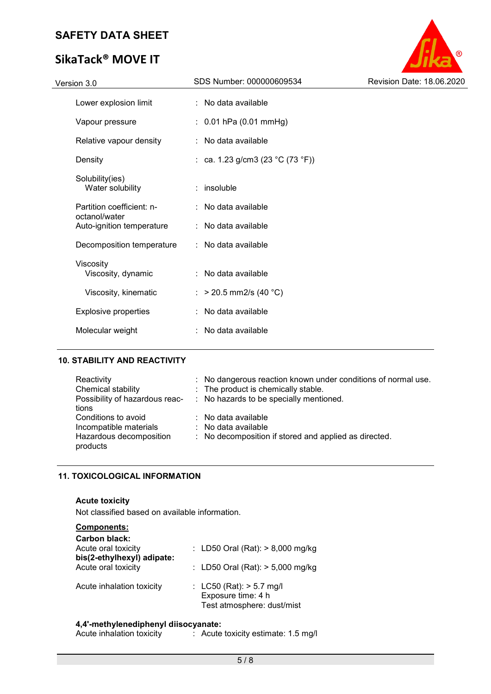# **SikaTack® MOVE IT**



## **10. STABILITY AND REACTIVITY**

| Reactivity<br>Chemical stability<br>Possibility of hazardous reac-<br>tions          | : No dangerous reaction known under conditions of normal use.<br>: The product is chemically stable.<br>: No hazards to be specially mentioned. |
|--------------------------------------------------------------------------------------|-------------------------------------------------------------------------------------------------------------------------------------------------|
| Conditions to avoid<br>Incompatible materials<br>Hazardous decomposition<br>products | $\therefore$ No data available<br>: No data available<br>: No decomposition if stored and applied as directed.                                  |

# **11. TOXICOLOGICAL INFORMATION**

### **Acute toxicity**

Not classified based on available information.

| Components:                                       |                                                                                |
|---------------------------------------------------|--------------------------------------------------------------------------------|
| Carbon black:                                     |                                                                                |
| Acute oral toxicity                               | : LD50 Oral (Rat): $> 8,000$ mg/kg                                             |
| bis(2-ethylhexyl) adipate:<br>Acute oral toxicity | : LD50 Oral (Rat): $> 5,000$ mg/kg                                             |
| Acute inhalation toxicity                         | : LC50 (Rat): $> 5.7$ mg/l<br>Exposure time: 4 h<br>Test atmosphere: dust/mist |

#### **4,4'-methylenediphenyl diisocyanate:**

| Acute inhalation toxicity |  | Acute toxicity estimate: 1.5 mg/l |  |
|---------------------------|--|-----------------------------------|--|
|---------------------------|--|-----------------------------------|--|

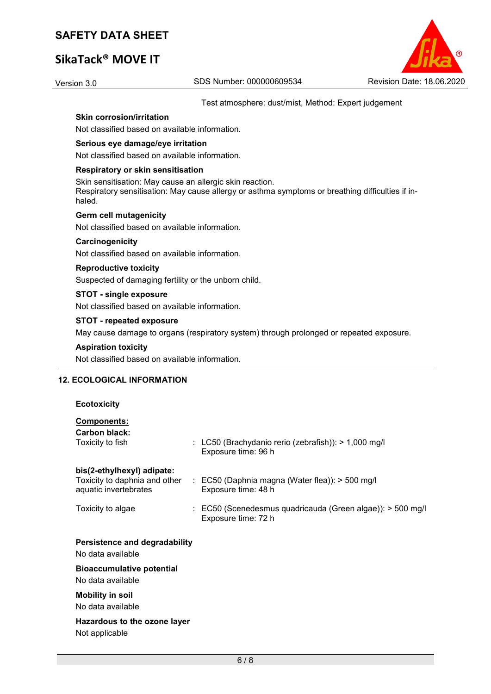# **SikaTack® MOVE IT**



#### Test atmosphere: dust/mist, Method: Expert judgement

### **Skin corrosion/irritation**

Not classified based on available information.

#### **Serious eye damage/eye irritation**

Not classified based on available information.

#### **Respiratory or skin sensitisation**

Skin sensitisation: May cause an allergic skin reaction. Respiratory sensitisation: May cause allergy or asthma symptoms or breathing difficulties if inhaled.

### **Germ cell mutagenicity**

Not classified based on available information.

#### **Carcinogenicity**

Not classified based on available information.

#### **Reproductive toxicity**

Suspected of damaging fertility or the unborn child.

### **STOT - single exposure**

Not classified based on available information.

#### **STOT - repeated exposure**

May cause damage to organs (respiratory system) through prolonged or repeated exposure.

### **Aspiration toxicity**

Not classified based on available information.

### **12. ECOLOGICAL INFORMATION**

#### **Ecotoxicity**

# **Components:**

| <b>Carbon black:</b><br>Toxicity to fish                                             | : LC50 (Brachydanio rerio (zebrafish)): $> 1,000$ mg/l<br>Exposure time: 96 h                  |
|--------------------------------------------------------------------------------------|------------------------------------------------------------------------------------------------|
| bis(2-ethylhexyl) adipate:<br>Toxicity to daphnia and other<br>aquatic invertebrates | $\therefore$ EC50 (Daphnia magna (Water flea)): $>$ 500 mg/l<br>Exposure time: 48 h            |
| Toxicity to algae                                                                    | $\therefore$ EC50 (Scenedesmus quadricauda (Green algae)): $>$ 500 mg/l<br>Exposure time: 72 h |
| <b>Persistence and degradability</b><br>No data available                            |                                                                                                |
| <b>Bioaccumulative potential</b>                                                     |                                                                                                |
| No data available                                                                    |                                                                                                |
| <b>Mobility in soil</b><br>No data available                                         |                                                                                                |
| Hazardous to the ozone layer<br>Not applicable                                       |                                                                                                |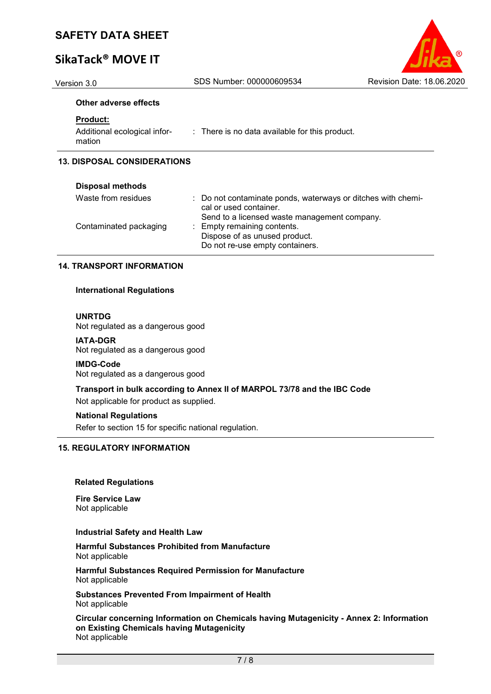# **SikaTack® MOVE IT**

### **Other adverse effects**

#### **Product:**

Additional ecological information

: There is no data available for this product.

# **13. DISPOSAL CONSIDERATIONS**

| <b>Disposal methods</b> |                                                                                                                                        |
|-------------------------|----------------------------------------------------------------------------------------------------------------------------------------|
| Waste from residues     | : Do not contaminate ponds, waterways or ditches with chemi-<br>cal or used container.<br>Send to a licensed waste management company. |
| Contaminated packaging  | : Empty remaining contents.<br>Dispose of as unused product.<br>Do not re-use empty containers.                                        |

#### **14. TRANSPORT INFORMATION**

#### **International Regulations**

#### **UNRTDG**

Not regulated as a dangerous good

#### **IATA-DGR**

Not regulated as a dangerous good

#### **IMDG-Code**

Not regulated as a dangerous good

### **Transport in bulk according to Annex II of MARPOL 73/78 and the IBC Code**

Not applicable for product as supplied.

#### **National Regulations**

Refer to section 15 for specific national regulation.

### **15. REGULATORY INFORMATION**

#### **Related Regulations**

**Fire Service Law** Not applicable

#### **Industrial Safety and Health Law**

**Harmful Substances Prohibited from Manufacture** Not applicable

**Harmful Substances Required Permission for Manufacture** Not applicable

**Substances Prevented From Impairment of Health** Not applicable

**Circular concerning Information on Chemicals having Mutagenicity - Annex 2: Information on Existing Chemicals having Mutagenicity** Not applicable